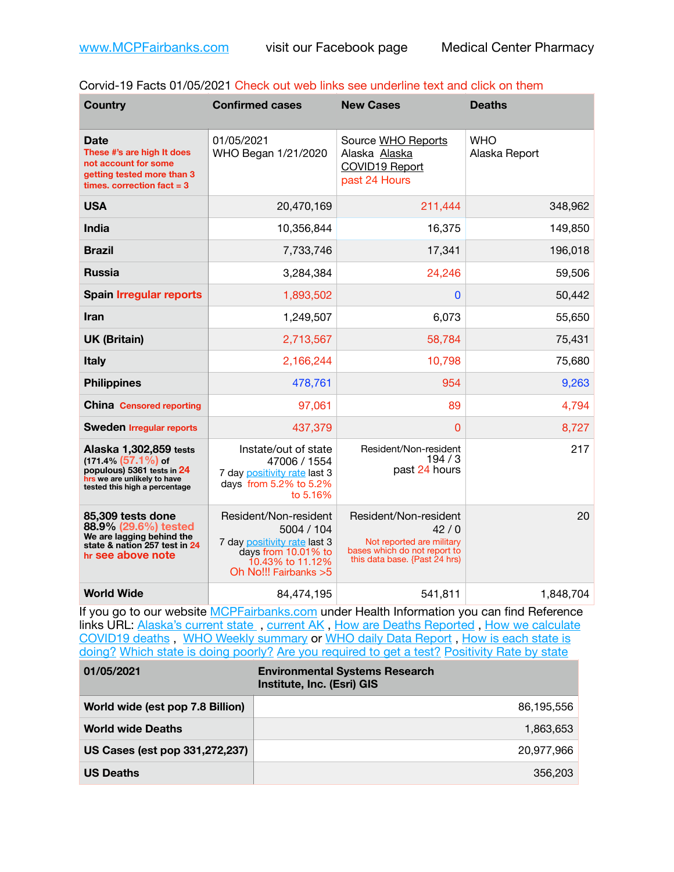| Corvid-19 Facts 01/05/2021 Check out web links see underline text and click on them |
|-------------------------------------------------------------------------------------|
|                                                                                     |

| <b>Country</b>                                                                                                                                 | <b>Confirmed cases</b>                                                                                                                   | <b>New Cases</b>                                                                                                            | <b>Deaths</b>               |
|------------------------------------------------------------------------------------------------------------------------------------------------|------------------------------------------------------------------------------------------------------------------------------------------|-----------------------------------------------------------------------------------------------------------------------------|-----------------------------|
| <b>Date</b><br>These #'s are high It does<br>not account for some<br>getting tested more than 3<br>times, correction fact $=$ 3                | 01/05/2021<br>WHO Began 1/21/2020                                                                                                        | Source WHO Reports<br>Alaska Alaska<br>COVID19 Report<br>past 24 Hours                                                      | <b>WHO</b><br>Alaska Report |
| <b>USA</b>                                                                                                                                     | 20,470,169                                                                                                                               | 211,444                                                                                                                     | 348,962                     |
| <b>India</b>                                                                                                                                   | 10,356,844                                                                                                                               | 16,375                                                                                                                      | 149,850                     |
| <b>Brazil</b>                                                                                                                                  | 7,733,746                                                                                                                                | 17,341                                                                                                                      | 196,018                     |
| <b>Russia</b>                                                                                                                                  | 3,284,384                                                                                                                                | 24,246                                                                                                                      | 59,506                      |
| <b>Spain Irregular reports</b>                                                                                                                 | 1,893,502                                                                                                                                | 0                                                                                                                           | 50,442                      |
| Iran                                                                                                                                           | 1,249,507                                                                                                                                | 6,073                                                                                                                       | 55,650                      |
| <b>UK (Britain)</b>                                                                                                                            | 2,713,567                                                                                                                                | 58,784                                                                                                                      | 75,431                      |
| <b>Italy</b>                                                                                                                                   | 2,166,244                                                                                                                                | 10,798                                                                                                                      | 75,680                      |
| <b>Philippines</b>                                                                                                                             | 478,761                                                                                                                                  | 954                                                                                                                         | 9,263                       |
| <b>China Censored reporting</b>                                                                                                                | 97,061                                                                                                                                   | 89                                                                                                                          | 4,794                       |
| <b>Sweden Irregular reports</b>                                                                                                                | 437,379                                                                                                                                  | 0                                                                                                                           | 8,727                       |
| Alaska 1,302,859 tests<br>$(171.4\%)(57.1\%)$ of<br>populous) 5361 tests in 24<br>hrs we are unlikely to have<br>tested this high a percentage | Instate/out of state<br>47006 / 1554<br>7 day positivity rate last 3<br>days from 5.2% to 5.2%<br>to 5.16%                               | Resident/Non-resident<br>194/3<br>past 24 hours                                                                             | 217                         |
| 85,309 tests done<br>88.9% (29.6%) tested<br>We are lagging behind the<br>state & nation 257 test in 24<br>hr see above note                   | Resident/Non-resident<br>5004 / 104<br>7 day positivity rate last 3<br>days from 10.01% to<br>10.43% to 11.12%<br>Oh No!!! Fairbanks > 5 | Resident/Non-resident<br>42/0<br>Not reported are military<br>bases which do not report to<br>this data base. {Past 24 hrs) | 20                          |
| <b>World Wide</b>                                                                                                                              | 84,474,195                                                                                                                               | 541,811                                                                                                                     | 1,848,704                   |

If you go to our website [MCPFairbanks.com](http://www.MCPFairbanks.com) under Health Information you can find Reference links URL: Alaska's current state, current AK, [How are Deaths Reported](http://dhss.alaska.gov/dph/Epi/id/Pages/COVID-19/deathcounts.aspx), How we calculate [COVID19 deaths](https://coronavirus-response-alaska-dhss.hub.arcgis.com/search?collection=Document&groupIds=41ccb3344ebc4bd682c74073eba21f42) , [WHO Weekly summary](http://www.who.int) or [WHO daily Data Report](https://covid19.who.int/table) , [How is each state is](https://www.msn.com/en-us/news/us/state-by-state-coronavirus-news/ar-BB13E1PX?fbclid=IwAR0_OBJH7lSyTN3ug_MsOeFnNgB1orTa9OBgilKJ7dhnwlVvHEsptuKkj1c)  [doing?](https://www.msn.com/en-us/news/us/state-by-state-coronavirus-news/ar-BB13E1PX?fbclid=IwAR0_OBJH7lSyTN3ug_MsOeFnNgB1orTa9OBgilKJ7dhnwlVvHEsptuKkj1c) [Which state is doing poorly?](https://bestlifeonline.com/covid-outbreak-your-state/?utm_source=nsltr&utm_medium=email&utm_content=covid-outbreak-your-state&utm_campaign=launch) [Are you required to get a test?](http://dhss.alaska.gov/dph/Epi/id/SiteAssets/Pages/HumanCoV/Whattodoafteryourtest.pdf) [Positivity Rate by state](https://coronavirus.jhu.edu/testing/individual-states/alaska)

| 01/05/2021                       | <b>Environmental Systems Research</b><br>Institute, Inc. (Esri) GIS |
|----------------------------------|---------------------------------------------------------------------|
| World wide (est pop 7.8 Billion) | 86,195,556                                                          |
| <b>World wide Deaths</b>         | 1.863.653                                                           |
| US Cases (est pop 331,272,237)   | 20,977,966                                                          |
| <b>US Deaths</b>                 | 356,203                                                             |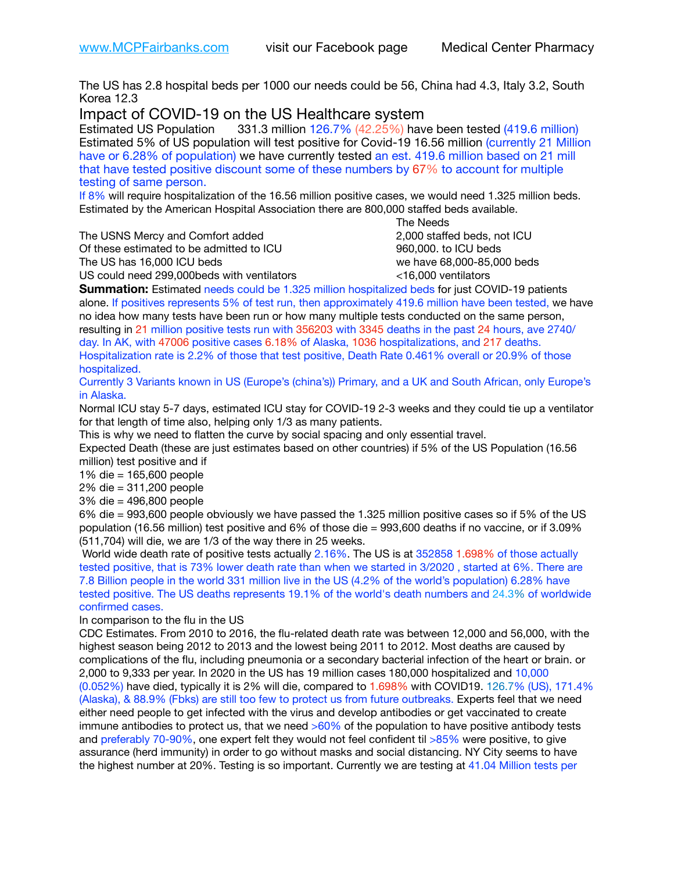The US has 2.8 hospital beds per 1000 our needs could be 56, China had 4.3, Italy 3.2, South Korea 12.3

Impact of COVID-19 on the US Healthcare system<br>Estimated US Population 331.3 million 126.7% (42.25%) hav

331.3 million 126.7% (42.25%) have been tested (419.6 million) Estimated 5% of US population will test positive for Covid-19 16.56 million (currently 21 Million have or 6.28% of population) we have currently tested an est. 419.6 million based on 21 mill that have tested positive discount some of these numbers by 67% to account for multiple testing of same person.

If 8% will require hospitalization of the 16.56 million positive cases, we would need 1.325 million beds. Estimated by the American Hospital Association there are 800,000 staffed beds available. 

The USNS Mercy and Comfort added 2,000 staffed beds, not ICU

Of these estimated to be admitted to ICU 960,000. to ICU beds The US has 16,000 ICU beds we have 68,000-85,000 beds ve have 68,000-85,000 beds

 The Needs US could need 299,000beds with ventilators <16,000 ventilators

**Summation:** Estimated needs could be 1.325 million hospitalized beds for just COVID-19 patients alone. If positives represents 5% of test run, then approximately 419.6 million have been tested, we have no idea how many tests have been run or how many multiple tests conducted on the same person, resulting in 21 million positive tests run with 356203 with 3345 deaths in the past 24 hours, ave 2740/ day. In AK, with 47006 positive cases 6.18% of Alaska, 1036 hospitalizations, and 217 deaths. Hospitalization rate is 2.2% of those that test positive, Death Rate 0.461% overall or 20.9% of those hospitalized.

Currently 3 Variants known in US (Europe's (china's)) Primary, and a UK and South African, only Europe's in Alaska.

Normal ICU stay 5-7 days, estimated ICU stay for COVID-19 2-3 weeks and they could tie up a ventilator for that length of time also, helping only 1/3 as many patients.

This is why we need to flatten the curve by social spacing and only essential travel.

Expected Death (these are just estimates based on other countries) if 5% of the US Population (16.56 million) test positive and if

1% die = 165,600 people

2% die = 311,200 people

3% die = 496,800 people

6% die = 993,600 people obviously we have passed the 1.325 million positive cases so if 5% of the US population (16.56 million) test positive and 6% of those die = 993,600 deaths if no vaccine, or if 3.09% (511,704) will die, we are 1/3 of the way there in 25 weeks.

World wide death rate of positive tests actually 2.16%. The US is at 352858 1.698% of those actually tested positive, that is 73% lower death rate than when we started in 3/2020 , started at 6%. There are 7.8 Billion people in the world 331 million live in the US (4.2% of the world's population) 6.28% have tested positive. The US deaths represents 19.1% of the world's death numbers and 24.3% of worldwide confirmed cases.

In comparison to the flu in the US

CDC Estimates. From 2010 to 2016, the flu-related death rate was between 12,000 and 56,000, with the highest season being 2012 to 2013 and the lowest being 2011 to 2012. Most deaths are caused by complications of the flu, including pneumonia or a secondary bacterial infection of the heart or brain. or 2,000 to 9,333 per year. In 2020 in the US has 19 million cases 180,000 hospitalized and 10,000 (0.052%) have died, typically it is 2% will die, compared to 1.698% with COVID19. 126.7% (US), 171.4% (Alaska), & 88.9% (Fbks) are still too few to protect us from future outbreaks. Experts feel that we need either need people to get infected with the virus and develop antibodies or get vaccinated to create immune antibodies to protect us, that we need  $>60\%$  of the population to have positive antibody tests and preferably 70-90%, one expert felt they would not feel confident til >85% were positive, to give assurance (herd immunity) in order to go without masks and social distancing. NY City seems to have the highest number at 20%. Testing is so important. Currently we are testing at 41.04 Million tests per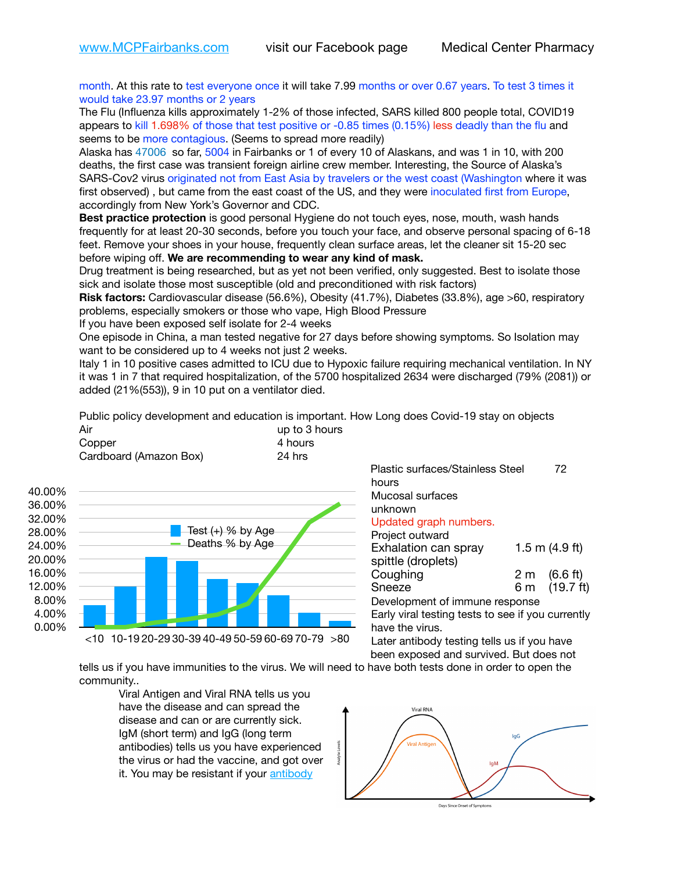month. At this rate to test everyone once it will take 7.99 months or over 0.67 years. To test 3 times it would take 23.97 months or 2 years

The Flu (Influenza kills approximately 1-2% of those infected, SARS killed 800 people total, COVID19 appears to kill 1.698% of those that test positive or -0.85 times (0.15%) less deadly than the flu and seems to be more contagious. (Seems to spread more readily)

Alaska has 47006 so far, 5004 in Fairbanks or 1 of every 10 of Alaskans, and was 1 in 10, with 200 deaths, the first case was transient foreign airline crew member. Interesting, the Source of Alaska's SARS-Cov2 virus originated not from East Asia by travelers or the west coast (Washington where it was first observed), but came from the east coast of the US, and they were inoculated first from Europe, accordingly from New York's Governor and CDC.

**Best practice protection** is good personal Hygiene do not touch eyes, nose, mouth, wash hands frequently for at least 20-30 seconds, before you touch your face, and observe personal spacing of 6-18 feet. Remove your shoes in your house, frequently clean surface areas, let the cleaner sit 15-20 sec before wiping off. **We are recommending to wear any kind of mask.**

Drug treatment is being researched, but as yet not been verified, only suggested. Best to isolate those sick and isolate those most susceptible (old and preconditioned with risk factors)

**Risk factors:** Cardiovascular disease (56.6%), Obesity (41.7%), Diabetes (33.8%), age >60, respiratory problems, especially smokers or those who vape, High Blood Pressure

If you have been exposed self isolate for 2-4 weeks

One episode in China, a man tested negative for 27 days before showing symptoms. So Isolation may want to be considered up to 4 weeks not just 2 weeks.

Italy 1 in 10 positive cases admitted to ICU due to Hypoxic failure requiring mechanical ventilation. In NY it was 1 in 7 that required hospitalization, of the 5700 hospitalized 2634 were discharged (79% (2081)) or added (21%(553)), 9 in 10 put on a ventilator died.

Public policy development and education is important. How Long does Covid-19 stay on objects  $\overline{1}$  in to 3 hours

| All                    | up to 3 H |
|------------------------|-----------|
| Copper                 | 4 hours   |
| Cardboard (Amazon Box) | 24 hrs    |



Plastic surfaces/Stainless Steel 72 hours Mucosal surfaces unknown Updated graph numbers. Project outward Exhalation can spray 1.5 m (4.9 ft) spittle (droplets) Coughing  $2 \text{ m}$   $(6.6 \text{ ft})$ Sneeze 6 m (19.7 ft) Development of immune response

Early viral testing tests to see if you currently have the virus.

Later antibody testing tells us if you have been exposed and survived. But does not

tells us if you have immunities to the virus. We will need to have both tests done in order to open the community..

Viral Antigen and Viral RNA tells us you have the disease and can spread the disease and can or are currently sick. IgM (short term) and IgG (long term antibodies) tells us you have experienced the virus or had the vaccine, and got over it. You may be resistant if your antibody



Days Since Onset of Symptoms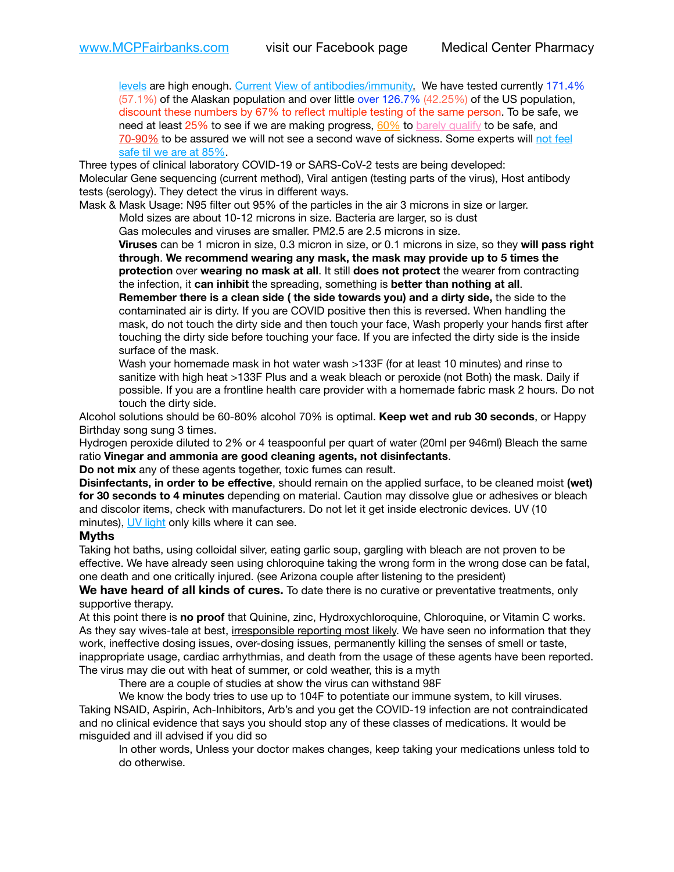[levels](https://www.cdc.gov/coronavirus/2019-ncov/lab/resources/antibody-tests.html) are high enough. [Current](https://l.facebook.com/l.php?u=https://www.itv.com/news/2020-10-26/covid-19-antibody-levels-reduce-over-time-study-finds?fbclid=IwAR3Dapzh1qIH1EIOdUQI2y8THf7jfA4KBCaJz8Qg-8xe1YsrR4nsAHDIXSY&h=AT30nut8pkqp0heVuz5W2rT2WFFm-2Ab52BsJxZZCNlGsX58IpPkuVEPULbIUV_M16MAukx1Kwb657DPXxsgDN1rpOQ4gqBtQsmVYiWpnHPJo2RQsU6CPMd14lgLnQnFWxfVi6zvmw&__tn__=-UK-R&c%5B0%5D=AT1GaRAfR_nGAyqcn7TI1-PpvqOqEKXHnz6TDWvRStMnOSH7boQDvTiwTOc6VId9UES6LKiOmm2m88wKCoolkJyOFvakt2Z1Mw8toYWGGoWW23r0MNVBl7cYJXB_UOvGklNHaNnaNr1_S7NhT3BSykNOBg) [View of antibodies/immunity](https://www.livescience.com/antibodies.html)[.](https://www.itv.com/news/2020-10-26/covid-19-antibody-levels-reduce-over-time-study-finds) We have tested currently 171.4% (57.1%) of the Alaskan population and over little over 126.7% (42.25%) of the US population, discount these numbers by 67% to reflect multiple testing of the same person. To be safe, we need at least 25% to see if we are making progress, [60%](https://www.jhsph.edu/covid-19/articles/achieving-herd-immunity-with-covid19.html) to [barely qualify](https://www.nature.com/articles/d41586-020-02948-4) to be safe, and [70-90%](https://www.mayoclinic.org/herd-immunity-and-coronavirus/art-20486808) to be assured we will not see a second wave of sickness. Some experts will not feel [safe til we are at 85%.](https://www.bannerhealth.com/healthcareblog/teach-me/what-is-herd-immunity)

Three types of clinical laboratory COVID-19 or SARS-CoV-2 tests are being developed: Molecular Gene sequencing (current method), Viral antigen (testing parts of the virus), Host antibody tests (serology). They detect the virus in different ways.

Mask & Mask Usage: N95 filter out 95% of the particles in the air 3 microns in size or larger. Mold sizes are about 10-12 microns in size. Bacteria are larger, so is dust

Gas molecules and viruses are smaller. PM2.5 are 2.5 microns in size.

**Viruses** can be 1 micron in size, 0.3 micron in size, or 0.1 microns in size, so they **will pass right through**. **We recommend wearing any mask, the mask may provide up to 5 times the protection** over **wearing no mask at all**. It still **does not protect** the wearer from contracting the infection, it **can inhibit** the spreading, something is **better than nothing at all**.

**Remember there is a clean side ( the side towards you) and a dirty side,** the side to the contaminated air is dirty. If you are COVID positive then this is reversed. When handling the mask, do not touch the dirty side and then touch your face, Wash properly your hands first after touching the dirty side before touching your face. If you are infected the dirty side is the inside surface of the mask.

Wash your homemade mask in hot water wash >133F (for at least 10 minutes) and rinse to sanitize with high heat >133F Plus and a weak bleach or peroxide (not Both) the mask. Daily if possible. If you are a frontline health care provider with a homemade fabric mask 2 hours. Do not touch the dirty side.

Alcohol solutions should be 60-80% alcohol 70% is optimal. **Keep wet and rub 30 seconds**, or Happy Birthday song sung 3 times.

Hydrogen peroxide diluted to 2% or 4 teaspoonful per quart of water (20ml per 946ml) Bleach the same ratio **Vinegar and ammonia are good cleaning agents, not disinfectants**.

**Do not mix** any of these agents together, toxic fumes can result.

**Disinfectants, in order to be effective**, should remain on the applied surface, to be cleaned moist (wet) **for 30 seconds to 4 minutes** depending on material. Caution may dissolve glue or adhesives or bleach and discolor items, check with manufacturers. Do not let it get inside electronic devices. UV (10 minutes), [UV light](http://www.docreviews.me/best-uv-boxes-2020/?fbclid=IwAR3bvFtXB48OoBBSvYvTEnKuHNPbipxM6jUo82QUSw9wckxjC7wwRZWabGw) only kills where it can see.

## **Myths**

Taking hot baths, using colloidal silver, eating garlic soup, gargling with bleach are not proven to be effective. We have already seen using chloroquine taking the wrong form in the wrong dose can be fatal, one death and one critically injured. (see Arizona couple after listening to the president)

We have heard of all kinds of cures. To date there is no curative or preventative treatments, only supportive therapy.

At this point there is **no proof** that Quinine, zinc, Hydroxychloroquine, Chloroquine, or Vitamin C works. As they say wives-tale at best, irresponsible reporting most likely. We have seen no information that they work, ineffective dosing issues, over-dosing issues, permanently killing the senses of smell or taste, inappropriate usage, cardiac arrhythmias, and death from the usage of these agents have been reported. The virus may die out with heat of summer, or cold weather, this is a myth

There are a couple of studies at show the virus can withstand 98F

We know the body tries to use up to 104F to potentiate our immune system, to kill viruses. Taking NSAID, Aspirin, Ach-Inhibitors, Arb's and you get the COVID-19 infection are not contraindicated and no clinical evidence that says you should stop any of these classes of medications. It would be misguided and ill advised if you did so

In other words, Unless your doctor makes changes, keep taking your medications unless told to do otherwise.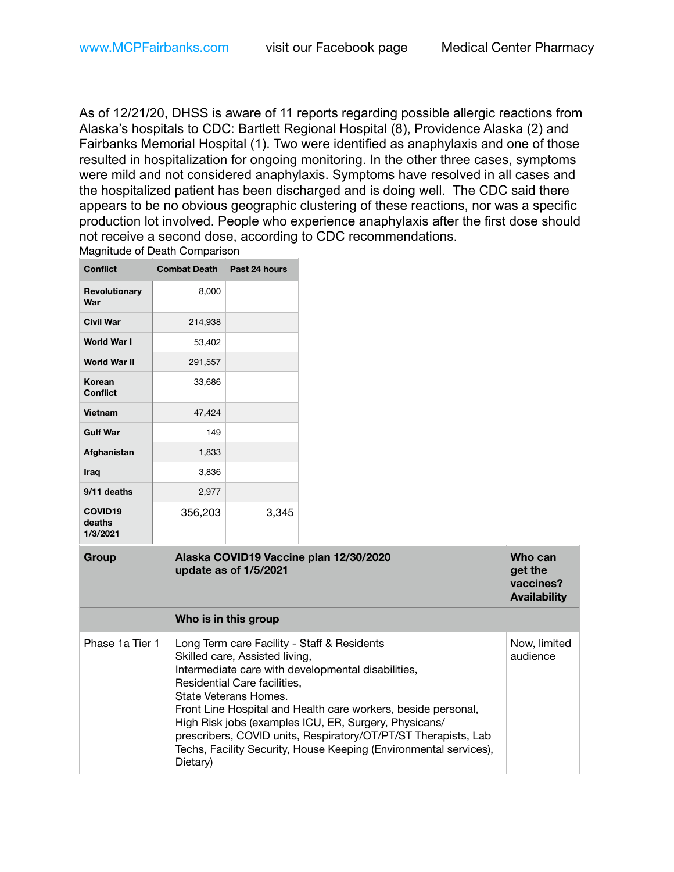**Who can get the vaccines? Availability**

As of 12/21/20, DHSS is aware of 11 reports regarding possible allergic reactions from Alaska's hospitals to CDC: Bartlett Regional Hospital (8), Providence Alaska (2) and Fairbanks Memorial Hospital (1). Two were identified as anaphylaxis and one of those resulted in hospitalization for ongoing monitoring. In the other three cases, symptoms were mild and not considered anaphylaxis. Symptoms have resolved in all cases and the hospitalized patient has been discharged and is doing well. The CDC said there appears to be no obvious geographic clustering of these reactions, nor was a specific production lot involved. People who experience anaphylaxis after the first dose should not receive a second dose, according to CDC recommendations. Magnitude of Death Comparison

| <b>Conflict</b>                           | <b>Combat Death Past 24 hours</b> |                       |                                        |
|-------------------------------------------|-----------------------------------|-----------------------|----------------------------------------|
| <b>Revolutionary</b><br>War               | 8,000                             |                       |                                        |
| <b>Civil War</b>                          | 214,938                           |                       |                                        |
| <b>World War I</b>                        | 53,402                            |                       |                                        |
| <b>World War II</b>                       | 291,557                           |                       |                                        |
| Korean<br><b>Conflict</b>                 | 33,686                            |                       |                                        |
| Vietnam                                   | 47,424                            |                       |                                        |
| <b>Gulf War</b>                           | 149                               |                       |                                        |
| Afghanistan                               | 1,833                             |                       |                                        |
| Iraq                                      | 3,836                             |                       |                                        |
| 9/11 deaths                               | 2,977                             |                       |                                        |
| COVID <sub>19</sub><br>deaths<br>1/3/2021 | 356,203                           | 3,345                 |                                        |
| Group                                     |                                   | update as of 1/5/2021 | Alaska COVID19 Vaccine plan 12/30/2020 |
| Who is in this group                      |                                   |                       |                                        |

| Phase 1a Tier 1 | Long Term care Facility - Staff & Residents<br>Skilled care, Assisted living,<br>Intermediate care with developmental disabilities,<br>Residential Care facilities,<br>State Veterans Homes.<br>Front Line Hospital and Health care workers, beside personal,<br>High Risk jobs (examples ICU, ER, Surgery, Physicans/<br>prescribers, COVID units, Respiratory/OT/PT/ST Therapists, Lab<br>Techs, Facility Security, House Keeping (Environmental services),<br>Dietary) | Now, limited<br>audience |
|-----------------|---------------------------------------------------------------------------------------------------------------------------------------------------------------------------------------------------------------------------------------------------------------------------------------------------------------------------------------------------------------------------------------------------------------------------------------------------------------------------|--------------------------|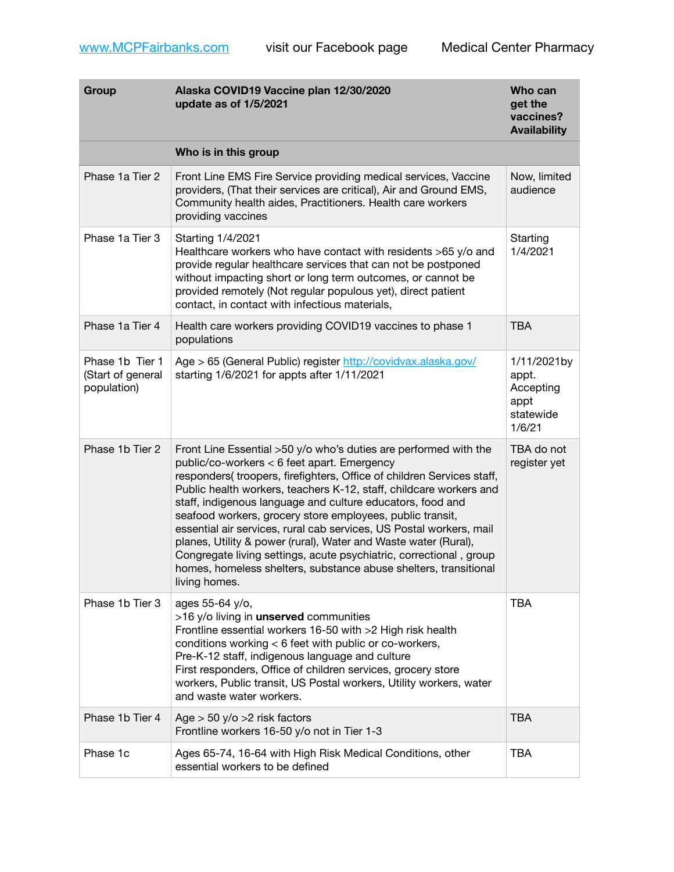[www.MCPFairbanks.com](http://www.MCPFairbanks.com) visit our Facebook page Medical Center Pharmacy

| Group                                               | Alaska COVID19 Vaccine plan 12/30/2020<br>update as of 1/5/2021                                                                                                                                                                                                                                                                                                                                                                                                                                                                                                                                                                                                                                | Who can<br>get the<br>vaccines?<br><b>Availability</b>           |
|-----------------------------------------------------|------------------------------------------------------------------------------------------------------------------------------------------------------------------------------------------------------------------------------------------------------------------------------------------------------------------------------------------------------------------------------------------------------------------------------------------------------------------------------------------------------------------------------------------------------------------------------------------------------------------------------------------------------------------------------------------------|------------------------------------------------------------------|
|                                                     | Who is in this group                                                                                                                                                                                                                                                                                                                                                                                                                                                                                                                                                                                                                                                                           |                                                                  |
| Phase 1a Tier 2                                     | Front Line EMS Fire Service providing medical services, Vaccine<br>providers, (That their services are critical), Air and Ground EMS,<br>Community health aides, Practitioners. Health care workers<br>providing vaccines                                                                                                                                                                                                                                                                                                                                                                                                                                                                      | Now, limited<br>audience                                         |
| Phase 1a Tier 3                                     | Starting 1/4/2021<br>Healthcare workers who have contact with residents >65 y/o and<br>provide regular healthcare services that can not be postponed<br>without impacting short or long term outcomes, or cannot be<br>provided remotely (Not regular populous yet), direct patient<br>contact, in contact with infectious materials,                                                                                                                                                                                                                                                                                                                                                          | Starting<br>1/4/2021                                             |
| Phase 1a Tier 4                                     | Health care workers providing COVID19 vaccines to phase 1<br>populations                                                                                                                                                                                                                                                                                                                                                                                                                                                                                                                                                                                                                       | <b>TBA</b>                                                       |
| Phase 1b Tier 1<br>(Start of general<br>population) | Age > 65 (General Public) register http://covidvax.alaska.gov/<br>starting 1/6/2021 for appts after 1/11/2021                                                                                                                                                                                                                                                                                                                                                                                                                                                                                                                                                                                  | 1/11/2021by<br>appt.<br>Accepting<br>appt<br>statewide<br>1/6/21 |
| Phase 1b Tier 2                                     | Front Line Essential >50 y/o who's duties are performed with the<br>public/co-workers < 6 feet apart. Emergency<br>responders(troopers, firefighters, Office of children Services staff,<br>Public health workers, teachers K-12, staff, childcare workers and<br>staff, indigenous language and culture educators, food and<br>seafood workers, grocery store employees, public transit,<br>essential air services, rural cab services, US Postal workers, mail<br>planes, Utility & power (rural), Water and Waste water (Rural),<br>Congregate living settings, acute psychiatric, correctional, group<br>homes, homeless shelters, substance abuse shelters, transitional<br>living homes. | TBA do not<br>register yet                                       |
| Phase 1b Tier 3                                     | ages 55-64 y/o,<br>>16 y/o living in <b>unserved</b> communities<br>Frontline essential workers 16-50 with >2 High risk health<br>conditions working < 6 feet with public or co-workers,<br>Pre-K-12 staff, indigenous language and culture<br>First responders, Office of children services, grocery store<br>workers, Public transit, US Postal workers, Utility workers, water<br>and waste water workers.                                                                                                                                                                                                                                                                                  | <b>TBA</b>                                                       |
| Phase 1b Tier 4                                     | Age $>$ 50 y/o $>$ 2 risk factors<br>Frontline workers 16-50 y/o not in Tier 1-3                                                                                                                                                                                                                                                                                                                                                                                                                                                                                                                                                                                                               | <b>TBA</b>                                                       |
| Phase 1c                                            | Ages 65-74, 16-64 with High Risk Medical Conditions, other<br>essential workers to be defined                                                                                                                                                                                                                                                                                                                                                                                                                                                                                                                                                                                                  | <b>TBA</b>                                                       |